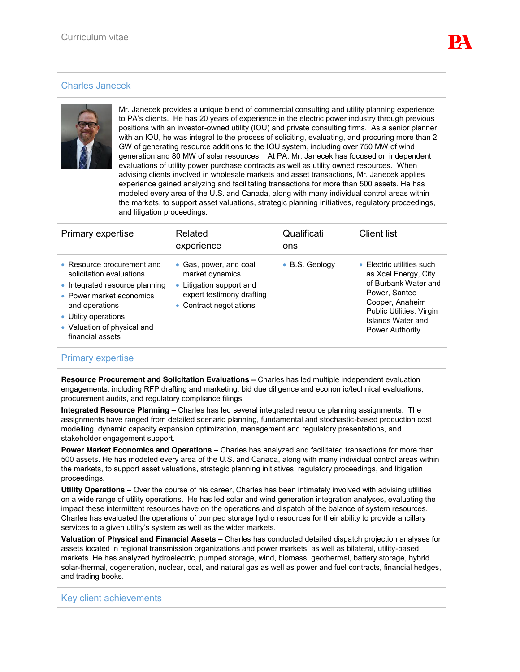## Charles Janecek



Mr. Janecek provides a unique blend of commercial consulting and utility planning experience to PA's clients. He has 20 years of experience in the electric power industry through previous positions with an investor-owned utility (IOU) and private consulting firms. As a senior planner with an IOU, he was integral to the process of soliciting, evaluating, and procuring more than 2 GW of generating resource additions to the IOU system, including over 750 MW of wind generation and 80 MW of solar resources. At PA, Mr. Janecek has focused on independent evaluations of utility power purchase contracts as well as utility owned resources. When advising clients involved in wholesale markets and asset transactions, Mr. Janecek applies experience gained analyzing and facilitating transactions for more than 500 assets. He has modeled every area of the U.S. and Canada, along with many individual control areas within the markets, to support asset valuations, strategic planning initiatives, regulatory proceedings, and litigation proceedings.

| Primary expertise                                                                                                                                                                                                 | Related<br>experience                                                                                                         | Qualificati<br>ons | <b>Client list</b>                                                                                                                                                                       |
|-------------------------------------------------------------------------------------------------------------------------------------------------------------------------------------------------------------------|-------------------------------------------------------------------------------------------------------------------------------|--------------------|------------------------------------------------------------------------------------------------------------------------------------------------------------------------------------------|
| • Resource procurement and<br>solicitation evaluations<br>• Integrated resource planning<br>• Power market economics<br>and operations<br>• Utility operations<br>• Valuation of physical and<br>financial assets | • Gas, power, and coal<br>market dynamics<br>• Litigation support and<br>expert testimony drafting<br>• Contract negotiations | • B.S. Geology     | • Electric utilities such<br>as Xcel Energy, City<br>of Burbank Water and<br>Power, Santee<br>Cooper, Anaheim<br>Public Utilities, Virgin<br>Islands Water and<br><b>Power Authority</b> |

## Primary expertise

**Resource Procurement and Solicitation Evaluations –** Charles has led multiple independent evaluation engagements, including RFP drafting and marketing, bid due diligence and economic/technical evaluations, procurement audits, and regulatory compliance filings.

**Integrated Resource Planning –** Charles has led several integrated resource planning assignments. The assignments have ranged from detailed scenario planning, fundamental and stochastic-based production cost modelling, dynamic capacity expansion optimization, management and regulatory presentations, and stakeholder engagement support.

**Power Market Economics and Operations –** Charles has analyzed and facilitated transactions for more than 500 assets. He has modeled every area of the U.S. and Canada, along with many individual control areas within the markets, to support asset valuations, strategic planning initiatives, regulatory proceedings, and litigation proceedings.

**Utility Operations –** Over the course of his career, Charles has been intimately involved with advising utilities on a wide range of utility operations. He has led solar and wind generation integration analyses, evaluating the impact these intermittent resources have on the operations and dispatch of the balance of system resources. Charles has evaluated the operations of pumped storage hydro resources for their ability to provide ancillary services to a given utility's system as well as the wider markets.

**Valuation of Physical and Financial Assets –** Charles has conducted detailed dispatch projection analyses for assets located in regional transmission organizations and power markets, as well as bilateral, utility-based markets. He has analyzed hydroelectric, pumped storage, wind, biomass, geothermal, battery storage, hybrid solar-thermal, cogeneration, nuclear, coal, and natural gas as well as power and fuel contracts, financial hedges, and trading books.

## Key client achievements